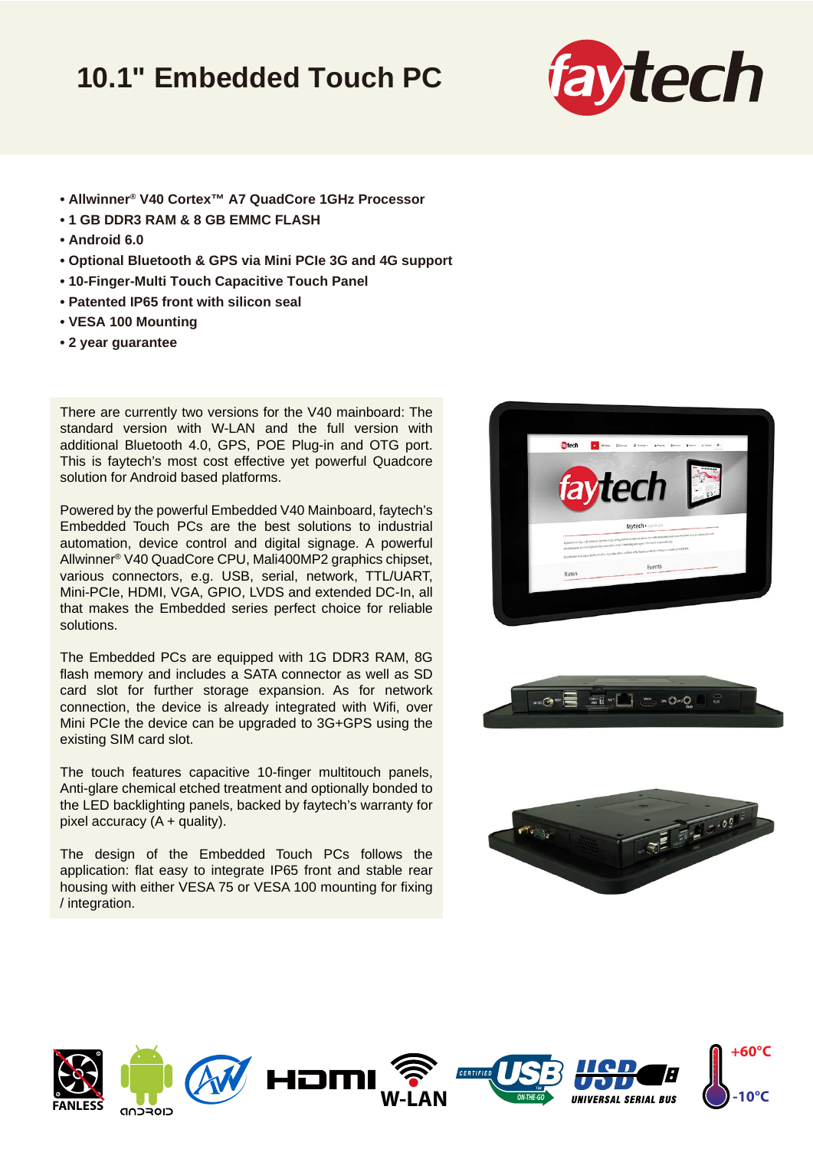## **10.1" Embedded Touch PC**



- **Allwinner® V40 Cortex™ A7 QuadCore 1GHz Processor**
- **1 GB DDR3 RAM & 8 GB EMMC FLASH**
- **Android 6.0**
- **Optional Bluetooth & GPS via Mini PCIe 3G and 4G support**
- **10-Finger-Multi Touch Capacitive Touch Panel**
- **Patented IP65 front with silicon seal**
- **VESA 100 Mounting**
- **2 year guarantee**

There are currently two versions for the V40 mainboard: The standard version with W-LAN and the full version with additional Bluetooth 4.0, GPS, POE Plug-in and OTG port. This is faytech's most cost effective yet powerful Quadcore solution for Android based platforms.

Powered by the powerful Embedded V40 Mainboard, faytech's Embedded Touch PCs are the best solutions to industrial automation, device control and digital signage. A powerful Allwinner® V40 QuadCore CPU, Mali400MP2 graphics chipset, various connectors, e.g. USB, serial, network, TTL/UART, Mini-PCIe, HDMI, VGA, GPIO, LVDS and extended DC-In, all that makes the Embedded series perfect choice for reliable solutions.

The Embedded PCs are equipped with 1G DDR3 RAM, 8G flash memory and includes a SATA connector as well as SD card slot for further storage expansion. As for network connection, the device is already integrated with Wifi, over Mini PCIe the device can be upgraded to 3G+GPS using the existing SIM card slot.

The touch features capacitive 10-finger multitouch panels, Anti-glare chemical etched treatment and optionally bonded to the LED backlighting panels, backed by faytech's warranty for pixel accuracy  $(A +$  quality).

The design of the Embedded Touch PCs follows the application: flat easy to integrate IP65 front and stable rear housing with either VESA 75 or VESA 100 mounting for fixing / integration.